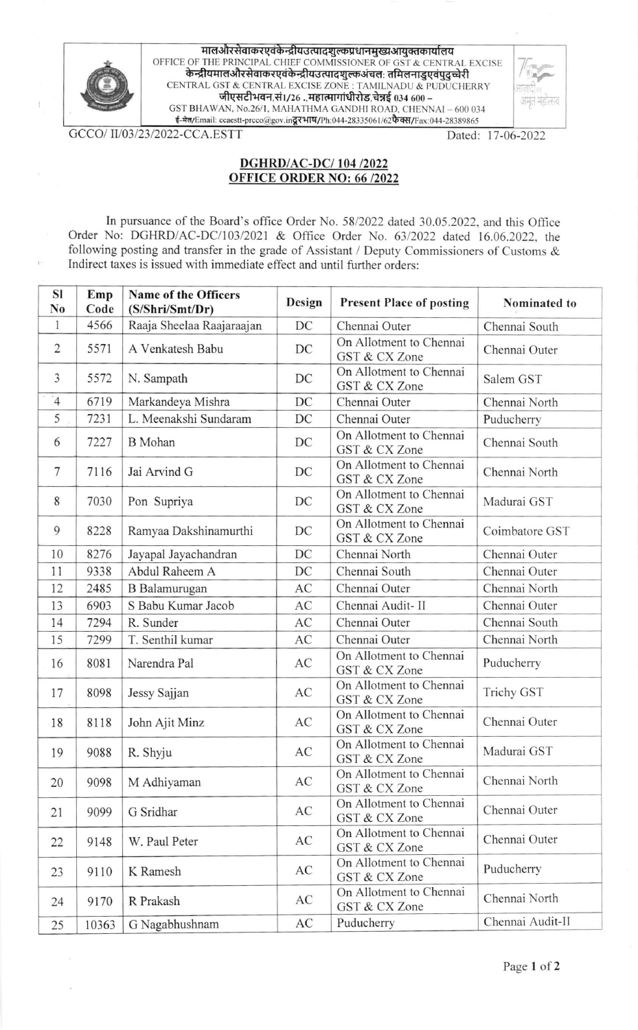

 $\mathbf{1}$ 

 $\mathbb{L}$ 

मालऔरसेवाकरएवंकेन्द्रीयउत्पादशुल्कप्रधानमुख्यआयुक्तकार्यालय OFFICE OF THE PRINCIPAL CHIEF COMMISSIONER OF GST & CENTRAL EXCISE CENTRAL GST & CENTRAL EXCISE ZONE : TAMILNADU & PUDUCHERRY जीएसटीभवन,सं1/26.,महात्मागांधीरोड,चेन्नई 034 600 -GST BHAWAN, No.26/1, MAHATHMA GANDHI ROAD, CHENNAI - 600 034 ई-मेल/Email: ccaestt-prcco@gov.in दूरभाष/Ph:044-28335061/62फैक्स/Fax:044-28389865

GCCO/II/03/23/2022-CCA.ESTT

Dated: 17-06-2022

अमृत मह

## **DGHRD/AC-DC/104/2022 OFFICE ORDER NO: 66 /2022**

In pursuance of the Board's office Order No. 58/2022 dated 30.05.2022, and this Office Order No: DGHRD/AC-DC/103/2021 & Office Order No. 63/2022 dated 16.06.2022, the following posting and transfer in the grade of Assistant / Deputy Commissioners of Customs & Indirect taxes is issued with immediate effect and until further orders:

| <b>SI</b><br>No | Emp<br>Code | Name of the Officers<br>(S/Shri/Smt/Dr) | Design | <b>Present Place of posting</b>          | Nominated to     |
|-----------------|-------------|-----------------------------------------|--------|------------------------------------------|------------------|
| $\mathbf{1}$    | 4566        | Raaja Sheelaa Raajaraajan               | DC     | Chennai Outer                            | Chennai South    |
| $\overline{2}$  | 5571        | A Venkatesh Babu                        | DC     | On Allotment to Chennai<br>GST & CX Zone | Chennai Outer    |
| 3               | 5572        | N. Sampath                              | DC     | On Allotment to Chennai<br>GST & CX Zone | Salem GST        |
| $\overline{4}$  | 6719        | Markandeya Mishra                       | DC     | Chennai Outer                            | Chennai North    |
| 5               | 7231        | L. Meenakshi Sundaram                   | DC     | Chennai Outer                            | Puducherry       |
| 6               | 7227        | <b>B</b> Mohan                          | DC     | On Allotment to Chennai<br>GST & CX Zone | Chennai South    |
| 7               | 7116        | Jai Arvind G                            | DC     | On Allotment to Chennai<br>GST & CX Zone | Chennai North    |
| 8               | 7030        | Pon Supriya                             | DC     | On Allotment to Chennai<br>GST & CX Zone | Madurai GST      |
| 9               | 8228        | Ramyaa Dakshinamurthi                   | DC     | On Allotment to Chennai<br>GST & CX Zone | Coimbatore GST   |
| 10              | 8276        | Jayapal Jayachandran                    | DC     | Chennai North                            | Chennai Outer    |
| 11              | 9338        | Abdul Raheem A                          | DC     | Chennai South                            | Chennai Outer    |
| 12              | 2485        | <b>B</b> Balamurugan                    | AC     | Chennai Outer                            | Chennai North    |
| 13              | 6903        | S Babu Kumar Jacob                      | AC     | Chennai Audit-II                         | Chennai Outer    |
| 14              | 7294        | R. Sunder                               | AC     | Chennai Outer                            | Chennai South    |
| 15              | 7299        | T. Senthil kumar                        | AC     | Chennai Outer                            | Chennai North    |
| 16              | 8081        | Narendra Pal                            | AC     | On Allotment to Chennai<br>GST & CX Zone | Puducherry       |
| 17              | 8098        | Jessy Sajjan                            | AC     | On Allotment to Chennai<br>GST & CX Zone | Trichy GST       |
| 18              | 8118        | John Ajit Minz                          | AC     | On Allotment to Chennai<br>GST & CX Zone | Chennai Outer    |
| 19              | 9088        | R. Shyju                                | AC     | On Allotment to Chennai<br>GST & CX Zone | Madurai GST      |
| 20              | 9098        | M Adhiyaman                             | AC     | On Allotment to Chennai<br>GST & CX Zone | Chennai North    |
| 21              | 9099        | G Sridhar                               | AC     | On Allotment to Chennai<br>GST & CX Zone | Chennai Outer    |
| 22              | 9148        | W. Paul Peter                           | AC     | On Allotment to Chennai<br>GST & CX Zone | Chennai Outer    |
| 23              | 9110        | K Ramesh                                | AC     | On Allotment to Chennai<br>GST & CX Zone | Puducherry       |
| 24              | 9170        | R Prakash                               | AC     | On Allotment to Chennai<br>GST & CX Zone | Chennai North    |
| 25              | 10363       | G Nagabhushnam                          | AC     | Puducherry                               | Chennai Audit-II |